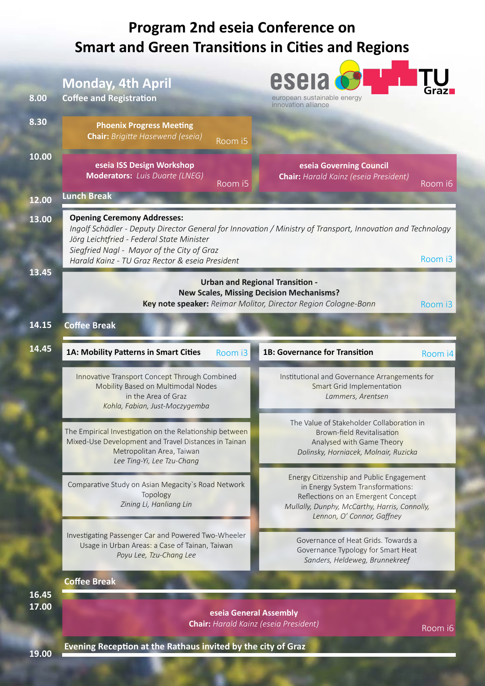|       | <b>Program 2nd eseia Conference on</b><br><b>Smart and Green Transitions in Cities and Regions</b>                                                                               |                                                                                                                                                                                                    |  |
|-------|----------------------------------------------------------------------------------------------------------------------------------------------------------------------------------|----------------------------------------------------------------------------------------------------------------------------------------------------------------------------------------------------|--|
|       | <b>Monday, 4th April</b>                                                                                                                                                         | esela                                                                                                                                                                                              |  |
| 8.00  | <b>Coffee and Registration</b>                                                                                                                                                   | european sustainable energy<br>innovation alliance                                                                                                                                                 |  |
| 8.30  | <b>Phoenix Progress Meeting</b><br><b>Chair:</b> Brigitte Hasewend (eseia)<br>Room i5                                                                                            |                                                                                                                                                                                                    |  |
| 10.00 | eseia ISS Design Workshop<br><b>Moderators:</b> Luis Duarte (LNEG)<br>Room i5                                                                                                    | eseia Governing Council<br><b>Chair:</b> Harald Kainz (eseia President)<br>Room i6                                                                                                                 |  |
| 12.00 | <b>Lunch Break</b>                                                                                                                                                               |                                                                                                                                                                                                    |  |
| 13.00 | <b>Opening Ceremony Addresses:</b><br>Jörg Leichtfried - Federal State Minister<br>Siegfried Nagl - Mayor of the City of Graz<br>Harald Kainz - TU Graz Rector & eseia President | Ingolf Schädler - Deputy Director General for Innovation / Ministry of Transport, Innovation and Technology<br>Room i3                                                                             |  |
| 13.45 | <b>Urban and Regional Transition -</b><br><b>New Scales, Missing Decision Mechanisms?</b><br>Key note speaker: Reimar Molitor, Director Region Cologne-Bonn<br>Room i3           |                                                                                                                                                                                                    |  |
| 14.15 | <b>Coffee Break</b>                                                                                                                                                              |                                                                                                                                                                                                    |  |
| 14.45 | 1A: Mobility Patterns in Smart Cities<br>Room i3                                                                                                                                 | 1B: Governance for Transition<br>Room i4                                                                                                                                                           |  |
|       | Innovative Transport Concept Through Combined<br>Mobility Based on Multimodal Nodes<br>in the Area of Graz                                                                       | Institutional and Governance Arrangements for<br>Smart Grid Implementation<br>Lammers, Arentsen                                                                                                    |  |
|       | Kohla, Fabian, Just-Moczygemba                                                                                                                                                   |                                                                                                                                                                                                    |  |
|       | The Empirical Investigation on the Relationship between<br>Mixed-Use Development and Travel Distances in Tainan<br>Metropolitan Area, Taiwan<br>Lee Ting-Yi, Lee Tzu-Chang       | The Value of Stakeholder Collaboration in<br>Brown-field Revitalisation<br>Analysed with Game Theory<br>Dolinsky, Horniacek, Molnair, Ruzicka                                                      |  |
|       | Comparative Study on Asian Megacity's Road Network<br>Topology<br>Zining Li, Hanliang Lin                                                                                        | Energy Citizenship and Public Engagement<br>in Energy System Transformations:<br>Reflections on an Emergent Concept<br>Mullally, Dunphy, McCarthy, Harris, Connolly,<br>Lennon, O' Connor, Gaffney |  |
|       | Investigating Passenger Car and Powered Two-Wheeler<br>Usage in Urban Areas: a Case of Tainan, Taiwan<br>Poyu Lee, Tzu-Chang Lee                                                 | Governance of Heat Grids. Towards a<br>Governance Typology for Smart Heat<br>Sanders, Heldeweg, Brunnekreef                                                                                        |  |
| 16.45 | <b>Coffee Break</b>                                                                                                                                                              |                                                                                                                                                                                                    |  |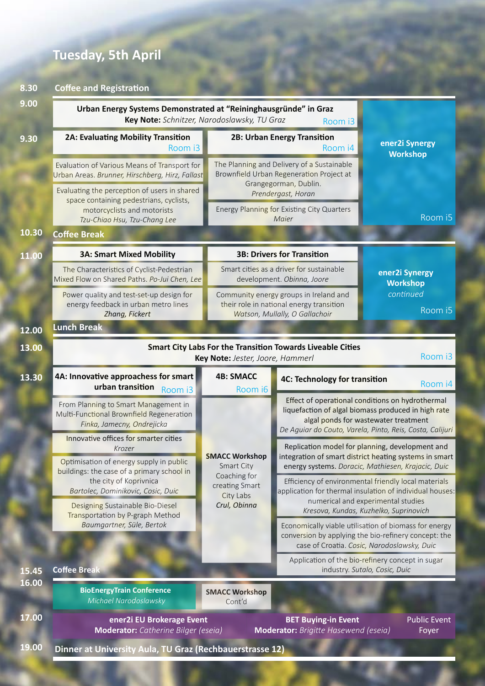### **Tuesday, 5th April**

#### **8.30 Coffee and Registration**

| 9.00  | Urban Energy Systems Demonstrated at "Reininghausgründe" in Graz<br>Key Note: Schnitzer, Narodoslawsky, TU Graz<br>Room i3                            |                                                                       |                                                                                                                      |                                                                                                                                                                                                             |
|-------|-------------------------------------------------------------------------------------------------------------------------------------------------------|-----------------------------------------------------------------------|----------------------------------------------------------------------------------------------------------------------|-------------------------------------------------------------------------------------------------------------------------------------------------------------------------------------------------------------|
| 9.30  | 2A: Evaluating Mobility Transition<br>Room i3                                                                                                         |                                                                       | 2B: Urban Energy Transition<br>Room i4                                                                               | ener2i Synergy<br><b>Workshop</b>                                                                                                                                                                           |
|       | Evaluation of Various Means of Transport for<br>Urban Areas. Brunner, Hirschberg, Hirz, Fallast                                                       |                                                                       | The Planning and Delivery of a Sustainable<br>Brownfield Urban Regeneration Project at                               |                                                                                                                                                                                                             |
|       | Evaluating the perception of users in shared<br>space containing pedestrians, cyclists,<br>motorcyclists and motorists                                |                                                                       | Grangegorman, Dublin.<br>Prendergast, Horan<br>Energy Planning for Existing City Quarters<br>Maier                   | Room i5                                                                                                                                                                                                     |
| 10.30 | Tzu-Chiao Hsu, Tzu-Chang Lee<br><b>Coffee Break</b>                                                                                                   |                                                                       |                                                                                                                      |                                                                                                                                                                                                             |
| 11.00 | <b>3A: Smart Mixed Mobility</b>                                                                                                                       |                                                                       | <b>3B: Drivers for Transition</b>                                                                                    |                                                                                                                                                                                                             |
|       | The Characteristics of Cyclist-Pedestrian<br>Mixed Flow on Shared Paths. Po-Jui Chen, Lee                                                             |                                                                       | Smart cities as a driver for sustainable<br>development. Obinna, Joore                                               | ener2i Synergy<br><b>Workshop</b>                                                                                                                                                                           |
|       | Power quality and test-set-up design for<br>energy feedback in urban metro lines<br>Zhang, Fickert                                                    |                                                                       | Community energy groups in Ireland and<br>their role in national energy transition<br>Watson, Mullally, O Gallachoir | continued<br>Room i5                                                                                                                                                                                        |
| 12.00 | <b>Lunch Break</b>                                                                                                                                    |                                                                       |                                                                                                                      |                                                                                                                                                                                                             |
| 13.00 | <b>Smart City Labs For the Transition Towards Liveable Cities</b><br>Room i3<br>Key Note: Jester, Joore, Hammerl                                      |                                                                       |                                                                                                                      |                                                                                                                                                                                                             |
| 13.30 | 4A: Innovative approachess for smart<br>urban transition<br>Room i3                                                                                   | <b>4B: SMACC</b><br>Room i6                                           | 4C: Technology for transition                                                                                        | Room i4                                                                                                                                                                                                     |
|       | From Planning to Smart Management in<br>Multi-Functional Brownfield Regeneration<br>Finka, Jamecny, Ondrejicka                                        | <b>SMACC Workshop</b><br>Smart City<br>Coaching for<br>creating Smart |                                                                                                                      | Effect of operational conditions on hydrothermal<br>liquefaction of algal biomass produced in high rate<br>algal ponds for wastewater treatment<br>De Aguiar do Couto, Varela, Pinto, Reis, Costa, Calijuri |
|       | Innovative offices for smarter cities<br>Krozer                                                                                                       |                                                                       |                                                                                                                      | Replication model for planning, development and<br>integration of smart district heating systems in smart                                                                                                   |
|       | Optimisation of energy supply in public<br>buildings: the case of a primary school in<br>the city of Koprivnica<br>Bartolec, Dominikovic, Cosic, Duic |                                                                       |                                                                                                                      | energy systems. Doracic, Mathiesen, Krajacic, Duic<br>Efficiency of environmental friendly local materials<br>application for thermal insulation of individual houses:                                      |
|       | Designing Sustainable Bio-Diesel<br>Transportation by P-graph Method                                                                                  | City Labs<br>Crul, Obinna                                             |                                                                                                                      | numerical and experimental studies<br>Kresova, Kundas, Kuzhelko, Suprinovich                                                                                                                                |
|       | Baumgartner, Süle, Bertok                                                                                                                             |                                                                       |                                                                                                                      | Economically viable utilisation of biomass for energy<br>conversion by applying the bio-refinery concept: the<br>case of Croatia. Cosic, Narodoslawsky, Duic                                                |
| 15.45 | <b>Coffee Break</b>                                                                                                                                   |                                                                       |                                                                                                                      | Application of the bio-refinery concept in sugar<br>industry. Sutalo, Cosic, Duic                                                                                                                           |
| 16.00 | <b>BioEnergyTrain Conference</b><br>Michael Narodoslawsky                                                                                             | <b>SMACC Workshop</b><br>Cont'd                                       |                                                                                                                      |                                                                                                                                                                                                             |
| 17.00 | ener2i EU Brokerage Event<br>Moderator: Catherine Bilger (eseia)                                                                                      |                                                                       | <b>BET Buying-in Event</b><br>Moderator: Brigitte Hasewend (eseia)                                                   | <b>Public Event</b><br>Foyer                                                                                                                                                                                |
| 19.00 | Dinner at University Aula, TU Graz (Rechbauerstrasse 12)                                                                                              |                                                                       |                                                                                                                      |                                                                                                                                                                                                             |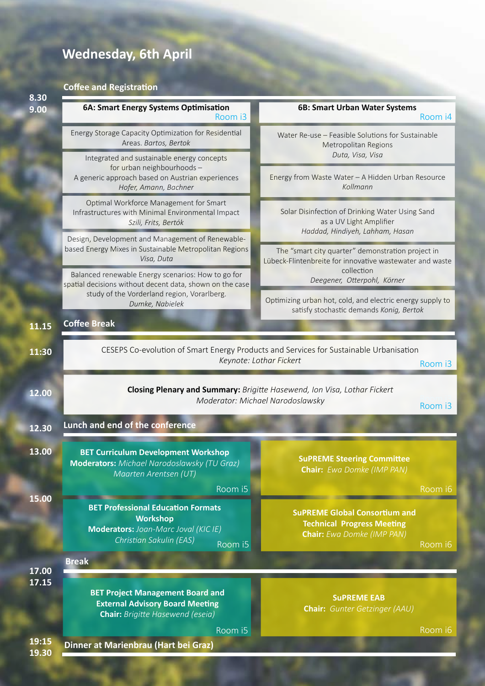## **Wednesday, 6th April**

#### **Coffee and Registration**

| 8.30<br>9.00   | 6A: Smart Energy Systems Optimisation<br>Room i3                                                                                                      | 6B: Smart Urban Water Systems<br>Room i4                                                                                                                                                                                                                                                                                                                         |  |
|----------------|-------------------------------------------------------------------------------------------------------------------------------------------------------|------------------------------------------------------------------------------------------------------------------------------------------------------------------------------------------------------------------------------------------------------------------------------------------------------------------------------------------------------------------|--|
|                | Energy Storage Capacity Optimization for Residential<br>Areas. Bartos, Bertok                                                                         | Water Re-use - Feasible Solutions for Sustainable<br>Metropolitan Regions                                                                                                                                                                                                                                                                                        |  |
|                | Integrated and sustainable energy concepts<br>for urban neighbourhoods -<br>A generic approach based on Austrian experiences<br>Hofer, Amann, Bachner | Duta, Visa, Visa<br>Energy from Waste Water - A Hidden Urban Resource<br>Kollmann<br>Solar Disinfection of Drinking Water Using Sand<br>as a UV Light Amplifier<br>Haddad, Hindiyeh, Lahham, Hasan<br>The "smart city quarter" demonstration project in<br>Lübeck-Flintenbreite for innovative wastewater and waste<br>collection<br>Deegener, Otterpohl, Körner |  |
|                | Optimal Workforce Management for Smart<br>Infrastructures with Minimal Environmental Impact<br>Szili, Frits, Bertók                                   |                                                                                                                                                                                                                                                                                                                                                                  |  |
|                | Design, Development and Management of Renewable-<br>based Energy Mixes in Sustainable Metropolitan Regions<br>Visa, Duta                              |                                                                                                                                                                                                                                                                                                                                                                  |  |
|                | Balanced renewable Energy scenarios: How to go for<br>spatial decisions without decent data, shown on the case                                        |                                                                                                                                                                                                                                                                                                                                                                  |  |
|                | study of the Vorderland region, Vorarlberg.<br>Dumke, Nabielek                                                                                        | Optimizing urban hot, cold, and electric energy supply to<br>satisfy stochastic demands Konig, Bertok                                                                                                                                                                                                                                                            |  |
| 11.15          | <b>Coffee Break</b>                                                                                                                                   |                                                                                                                                                                                                                                                                                                                                                                  |  |
| 11:30          |                                                                                                                                                       | CESEPS Co-evolution of Smart Energy Products and Services for Sustainable Urbanisation<br>Keynote: Lothar Fickert<br>Room i3                                                                                                                                                                                                                                     |  |
| 12.00          | Closing Plenary and Summary: Brigitte Hasewend, Ion Visa, Lothar Fickert<br>Moderator: Michael Narodoslawsky<br>Room i3                               |                                                                                                                                                                                                                                                                                                                                                                  |  |
| 12.30          | Lunch and end of the conference                                                                                                                       |                                                                                                                                                                                                                                                                                                                                                                  |  |
| 13.00          | <b>BET Curriculum Development Workshop</b><br><b>Moderators:</b> Michael Narodoslawsky (TU Graz)<br>Maarten Arentsen (UT)                             | <b>SuPREME Steering Committee</b><br><b>Chair:</b> Ewa Domke (IMP PAN)                                                                                                                                                                                                                                                                                           |  |
| 15.00          | Room i5<br><b>BET Professional Education Formats</b>                                                                                                  | Room i6<br><b>SUPREME Global Consortium and</b>                                                                                                                                                                                                                                                                                                                  |  |
|                | <b>Workshop</b><br><b>Moderators:</b> Joan-Marc Joval (KIC IE)<br>Christian Sakulin (EAS)<br>Room i5                                                  | <b>Technical Progress Meeting</b><br><b>Chair:</b> Ewa Domke (IMP PAN)<br>Room i6                                                                                                                                                                                                                                                                                |  |
| 17.00          | <b>Break</b>                                                                                                                                          |                                                                                                                                                                                                                                                                                                                                                                  |  |
| 17.15          | <b>BET Project Management Board and</b><br><b>External Advisory Board Meeting</b><br><b>Chair:</b> Brigitte Hasewend (eseia)                          | <b>SUPREME EAB</b><br><b>Chair:</b> Gunter Getzinger (AAU)                                                                                                                                                                                                                                                                                                       |  |
|                | Room i5                                                                                                                                               | Room i6                                                                                                                                                                                                                                                                                                                                                          |  |
| 19:15<br>19.30 | Dinner at Marienbrau (Hart bei Graz)                                                                                                                  |                                                                                                                                                                                                                                                                                                                                                                  |  |